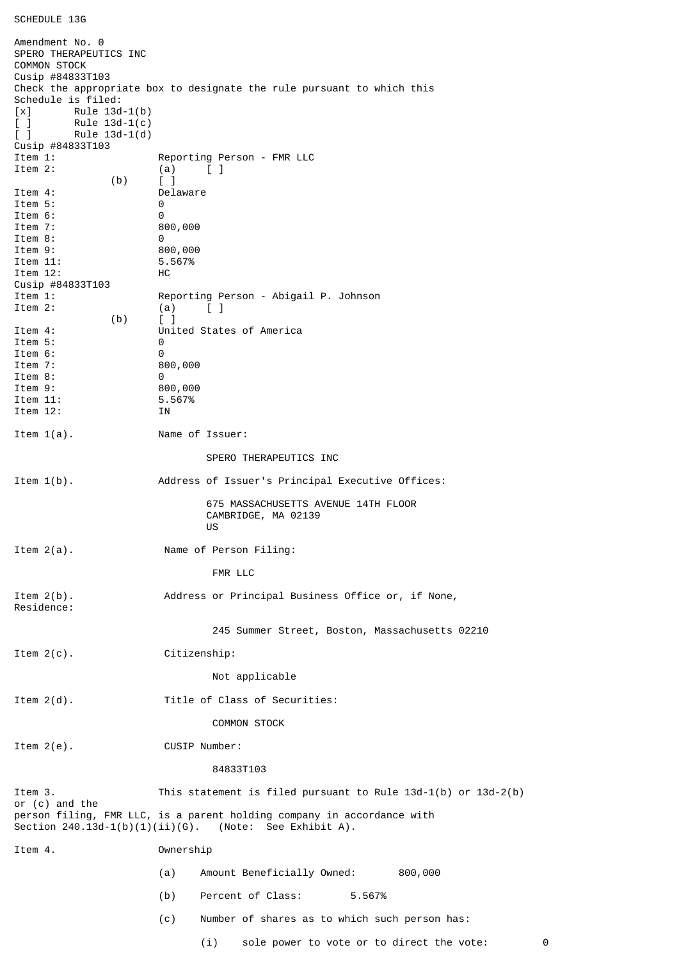## SCHEDULE 13G

Amendment No. 0 SPERO THERAPEUTICS INC COMMON STOCK Cusip #84833T103 Check the appropriate box to designate the rule pursuant to which this Schedule is filed:  $[x]$  Rule 13d-1(b) [ ] Rule 13d-1(c) [ ] Rule 13d-1(d) Cusip #84833T103 Reporting Person - FMR LLC Item 2: (a) [ ] (b) [ ] Delaware<br>0 Item 5: Item 6: 0 Item 7: 800,000 Item 8: 0<br>Item 9: 0<br>8 800,000 Item 11: 5.567% Item 12: HC Cusip #84833T103 Item 1: Reporting Person - Abigail P. Johnson Item 2:  $(a)$   $\begin{bmatrix} 1 \end{bmatrix}$  $(b)$  [ ] Item 4: United States of America Item 5: 0 Item 6: 0<br>Item 7: 8 800,000 Item 8: 0 1tem 9: 800,000<br>1tem 11: 5.567% Item 11: Item 12: IN Item 1(a). Name of Issuer: SPERO THERAPEUTICS INC Item 1(b). Address of Issuer's Principal Executive Offices: 675 MASSACHUSETTS AVENUE 14TH FLOOR CAMBRIDGE, MA 02139 **US** and the state of the state of the state of the state of the state of the state of the state of the state of the state of the state of the state of the state of the state of the state of the state of the state of the s Item 2(a). Name of Person Filing: FMR LLC Item 2(b). Address or Principal Business Office or, if None, Residence: 245 Summer Street, Boston, Massachusetts 02210 Item 2(c). Citizenship: Not applicable Item 2(d). Title of Class of Securities: COMMON STOCK Item 2(e). CUSIP Number: 84833T103 Item 3. This statement is filed pursuant to Rule 13d-1(b) or 13d-2(b) or (c) and the person filing, FMR LLC, is a parent holding company in accordance with Section  $240.13d-1(b)(1)(ii)(G)$ . (Note: See Exhibit A). Item 4. Ownership (a) Amount Beneficially Owned: 800,000 (b) Percent of Class: 5.567% (c) Number of shares as to which such person has: (i) sole power to vote or to direct the vote: 0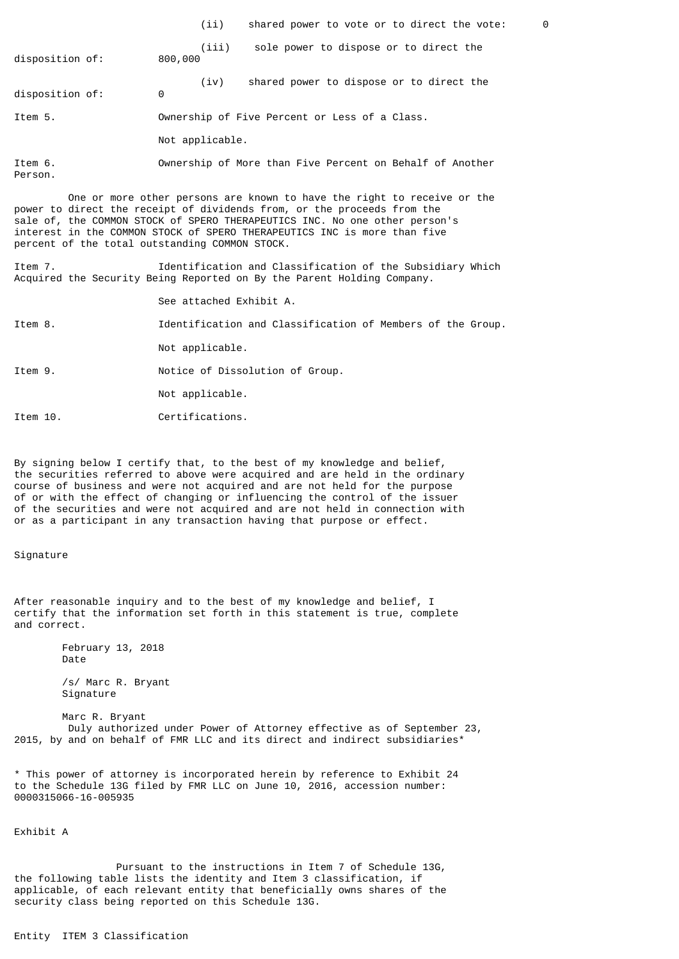(ii) shared power to vote or to direct the vote: 0 (iii) sole power to dispose or to direct the disposition of: (iv) shared power to dispose or to direct the disposition of: Item 5. Ownership of Five Percent or Less of a Class. Not applicable. Item 6. Ownership of More than Five Percent on Behalf of Another Person. One or more other persons are known to have the right to receive or the power to direct the receipt of dividends from, or the proceeds from the sale of, the COMMON STOCK of SPERO THERAPEUTICS INC. No one other person's interest in the COMMON STOCK of SPERO THERAPEUTICS INC is more than five percent of the total outstanding COMMON STOCK.

Item 7. Identification and Classification of the Subsidiary Which Acquired the Security Being Reported on By the Parent Holding Company.

See attached Exhibit A.

Item 8. Identification and Classification of Members of the Group.

Not applicable.

Item 9. Notice of Dissolution of Group.

Not applicable.

Item 10. Certifications.

By signing below I certify that, to the best of my knowledge and belief, the securities referred to above were acquired and are held in the ordinary course of business and were not acquired and are not held for the purpose of or with the effect of changing or influencing the control of the issuer of the securities and were not acquired and are not held in connection with or as a participant in any transaction having that purpose or effect.

## Signature

After reasonable inquiry and to the best of my knowledge and belief, I certify that the information set forth in this statement is true, complete and correct.

> February 13, 2018 Date

 /s/ Marc R. Bryant Signature

 Marc R. Bryant Duly authorized under Power of Attorney effective as of September 23, 2015, by and on behalf of FMR LLC and its direct and indirect subsidiaries\*

\* This power of attorney is incorporated herein by reference to Exhibit 24 to the Schedule 13G filed by FMR LLC on June 10, 2016, accession number: 0000315066-16-005935

## Exhibit A

 Pursuant to the instructions in Item 7 of Schedule 13G, the following table lists the identity and Item 3 classification, if applicable, of each relevant entity that beneficially owns shares of the security class being reported on this Schedule 13G.